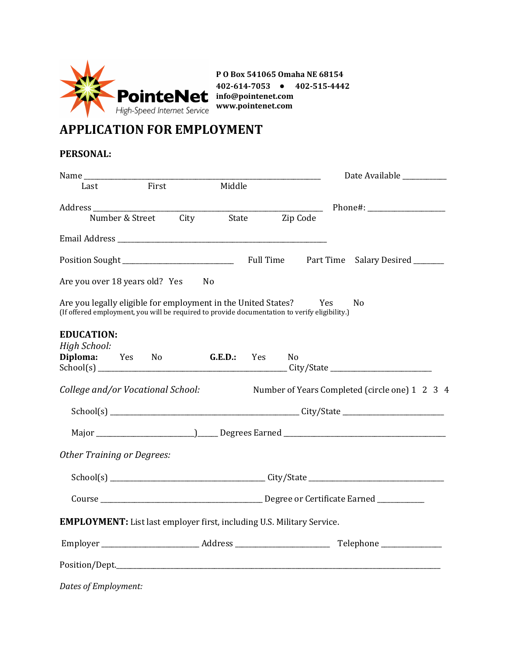

**P O Box 541065 Omaha NE 68154 402-614-7053** • **402-515-4442 info@pointenet.com www.pointenet.com**

## **APPLICATION FOR EMPLOYMENT**

## **PERSONAL:**

|                                   | Name                                      |                                                                                                                                                                    |                | Date Available _________                       |  |  |  |  |  |  |
|-----------------------------------|-------------------------------------------|--------------------------------------------------------------------------------------------------------------------------------------------------------------------|----------------|------------------------------------------------|--|--|--|--|--|--|
| Last                              | First                                     | Middle                                                                                                                                                             |                |                                                |  |  |  |  |  |  |
|                                   |                                           |                                                                                                                                                                    |                |                                                |  |  |  |  |  |  |
|                                   | Number & Street                           | City<br>State                                                                                                                                                      | Zip Code       |                                                |  |  |  |  |  |  |
|                                   |                                           |                                                                                                                                                                    |                |                                                |  |  |  |  |  |  |
|                                   | Position Sought _________________________ |                                                                                                                                                                    | Full Time      | Part Time Salary Desired ______                |  |  |  |  |  |  |
|                                   | Are you over 18 years old? Yes No         |                                                                                                                                                                    |                |                                                |  |  |  |  |  |  |
|                                   |                                           | Are you legally eligible for employment in the United States? Yes<br>(If offered employment, you will be required to provide documentation to verify eligibility.) |                | No                                             |  |  |  |  |  |  |
| <b>EDUCATION:</b><br>High School: |                                           |                                                                                                                                                                    |                |                                                |  |  |  |  |  |  |
| Diploma: Yes No                   |                                           | G.E.D.: Yes                                                                                                                                                        | N <sub>o</sub> |                                                |  |  |  |  |  |  |
|                                   | College and/or Vocational School:         |                                                                                                                                                                    |                | Number of Years Completed (circle one) 1 2 3 4 |  |  |  |  |  |  |
|                                   |                                           |                                                                                                                                                                    |                |                                                |  |  |  |  |  |  |
|                                   |                                           |                                                                                                                                                                    |                |                                                |  |  |  |  |  |  |
| Other Training or Degrees:        |                                           |                                                                                                                                                                    |                |                                                |  |  |  |  |  |  |
|                                   |                                           |                                                                                                                                                                    |                |                                                |  |  |  |  |  |  |
|                                   |                                           |                                                                                                                                                                    |                |                                                |  |  |  |  |  |  |
|                                   |                                           | <b>EMPLOYMENT:</b> List last employer first, including U.S. Military Service.                                                                                      |                |                                                |  |  |  |  |  |  |
|                                   |                                           |                                                                                                                                                                    |                |                                                |  |  |  |  |  |  |
|                                   |                                           |                                                                                                                                                                    |                |                                                |  |  |  |  |  |  |
| Dates of Employment:              |                                           |                                                                                                                                                                    |                |                                                |  |  |  |  |  |  |